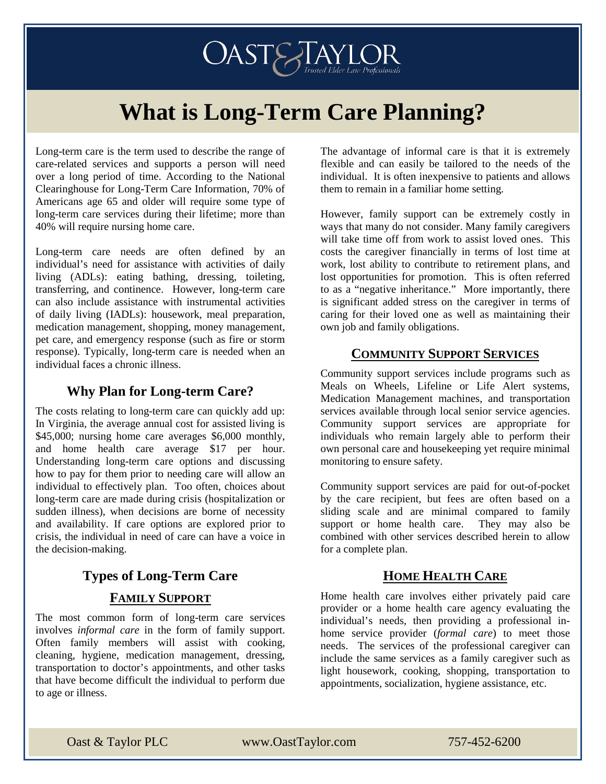$OAST$   $F$   $\sum_{Trusteed}$  Flder Law Professionals

# **What is Long-Term Care Planning?**

Long-term care is the term used to describe the range of care-related services and supports a person will need over a long period of time. According to the National Clearinghouse for Long-Term Care Information, 70% of Americans age 65 and older will require some type of long-term care services during their lifetime; more than 40% will require nursing home care.

Long-term care needs are often defined by an individual's need for assistance with activities of daily living (ADLs): eating bathing, dressing, toileting, transferring, and continence. However, long-term care can also include assistance with instrumental activities of daily living (IADLs): housework, meal preparation, medication management, shopping, money management, pet care, and emergency response (such as fire or storm response). Typically, long-term care is needed when an individual faces a chronic illness.

## **Why Plan for Long-term Care?**

The costs relating to long-term care can quickly add up: In Virginia, the average annual cost for assisted living is \$45,000; nursing home care averages \$6,000 monthly, and home health care average \$17 per hour. Understanding long-term care options and discussing how to pay for them prior to needing care will allow an individual to effectively plan. Too often, choices about long-term care are made during crisis (hospitalization or sudden illness), when decisions are borne of necessity and availability. If care options are explored prior to crisis, the individual in need of care can have a voice in the decision-making.

## **Types of Long-Term Care FAMILY SUPPORT**

The most common form of long-term care services involves *informal care* in the form of family support. Often family members will assist with cooking, cleaning, hygiene, medication management, dressing, transportation to doctor's appointments, and other tasks that have become difficult the individual to perform due to age or illness.

The advantage of informal care is that it is extremely flexible and can easily be tailored to the needs of the individual. It is often inexpensive to patients and allows them to remain in a familiar home setting.

However, family support can be extremely costly in ways that many do not consider. Many family caregivers will take time off from work to assist loved ones. This costs the caregiver financially in terms of lost time at work, lost ability to contribute to retirement plans, and lost opportunities for promotion. This is often referred to as a "negative inheritance." More importantly, there is significant added stress on the caregiver in terms of caring for their loved one as well as maintaining their own job and family obligations.

## **COMMUNITY SUPPORT SERVICES**

Community support services include programs such as Meals on Wheels, Lifeline or Life Alert systems, Medication Management machines, and transportation services available through local senior service agencies. Community support services are appropriate for individuals who remain largely able to perform their own personal care and housekeeping yet require minimal monitoring to ensure safety.

Community support services are paid for out-of-pocket by the care recipient, but fees are often based on a sliding scale and are minimal compared to family support or home health care. They may also be combined with other services described herein to allow for a complete plan.

## **HOME HEALTH CARE**

Home health care involves either privately paid care provider or a home health care agency evaluating the individual's needs, then providing a professional inhome service provider (*formal care*) to meet those needs. The services of the professional caregiver can include the same services as a family caregiver such as light housework, cooking, shopping, transportation to appointments, socialization, hygiene assistance, etc.